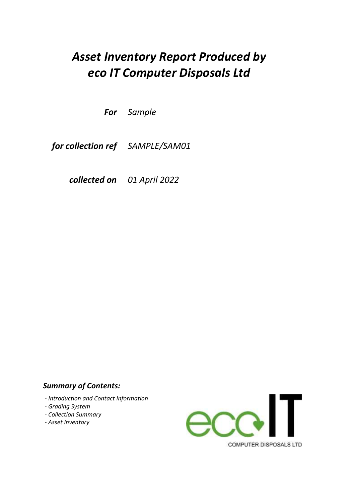# *Asset Inventory Report Produced by eco IT Computer Disposals Ltd*

*Sample For* 

*SAMPLE/SAM01 for collection ref* 

*01 April 2022 collected on* 

### *Summary of Contents:*

- *Introduction and Contact Information*
- *Grading System*
- *Collection Summary*
- *Asset Inventory*

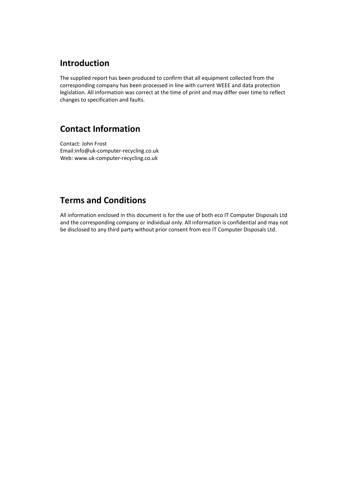### **Introduction**

The supplied report has been produced to confirm that all equipment collected from the corresponding company has been processed in line with current WEEE and data protection legislation. All information was correct at the time of print and may differ over time to reflect changes to specification and faults.

## **Contact Information**

Contact: John Frost Email:info@uk-computer-recycling.co.uk Web: www.uk-computer-recycling.co.uk

## **Terms and Conditions**

All information enclosed in this document is for the use of both eco IT Computer Disposals Ltd and the corresponding company or individual only. All information is confidential and may not be disclosed to any third party without prior consent from eco IT Computer Disposals Ltd.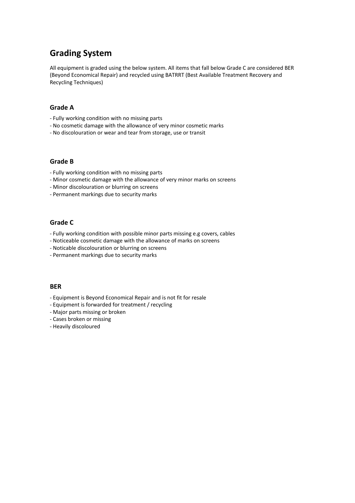## **Grading System**

All equipment is graded using the below system. All items that fall below Grade C are considered BER (Beyond Economical Repair) and recycled using BATRRT (Best Available Treatment Recovery and Recycling Techniques)

#### **Grade A**

- Fully working condition with no missing parts
- No cosmetic damage with the allowance of very minor cosmetic marks
- No discolouration or wear and tear from storage, use or transit

#### **Grade B**

- Fully working condition with no missing parts
- Minor cosmetic damage with the allowance of very minor marks on screens
- Minor discolouration or blurring on screens
- Permanent markings due to security marks

#### **Grade C**

- Fully working condition with possible minor parts missing e.g covers, cables
- Noticeable cosmetic damage with the allowance of marks on screens
- Noticable discolouration or blurring on screens
- Permanent markings due to security marks

#### **BER**

- Equipment is Beyond Economical Repair and is not fit for resale
- Equipment is forwarded for treatment / recycling
- Major parts missing or broken
- Cases broken or missing
- Heavily discoloured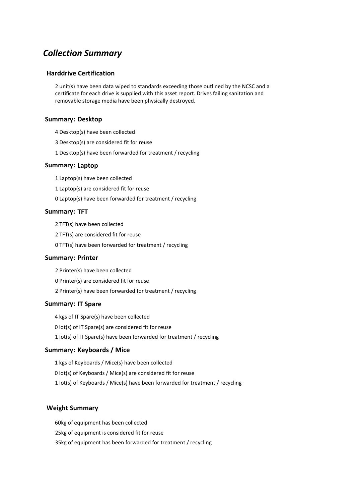### *Collection Summary*

#### **Harddrive Certification**

2 unit(s) have been data wiped to standards exceeding those outlined by the NCSC and a certificate for each drive is supplied with this asset report. Drives failing sanitation and removable storage media have been physically destroyed.

#### **Summary: Desktop**

- 4 Desktop(s) have been collected
- 3 Desktop(s) are considered fit for reuse
- 1 Desktop(s) have been forwarded for treatment / recycling

#### **Summary: Laptop**

1 Laptop(s) have been collected

1 Laptop(s) are considered fit for reuse

0 Laptop(s) have been forwarded for treatment / recycling

#### **Summary: TFT**

2 TFT(s) have been collected

2 TFT(s) are considered fit for reuse

0 TFT(s) have been forwarded for treatment / recycling

#### **Summary: Printer**

2 Printer(s) have been collected

0 Printer(s) are considered fit for reuse

2 Printer(s) have been forwarded for treatment / recycling

#### **Summary: IT Spare**

4 kgs of IT Spare(s) have been collected

0 lot(s) of IT Spare(s) are considered fit for reuse

1 lot(s) of IT Spare(s) have been forwarded for treatment / recycling

#### **Summary: Keyboards / Mice**

1 kgs of Keyboards / Mice(s) have been collected 0 lot(s) of Keyboards / Mice(s) are considered fit for reuse 1 lot(s) of Keyboards / Mice(s) have been forwarded for treatment / recycling

#### **Weight Summary**

60kg of equipment has been collected 35kg of equipment has been forwarded for treatment / recycling 25kg of equipment is considered fit for reuse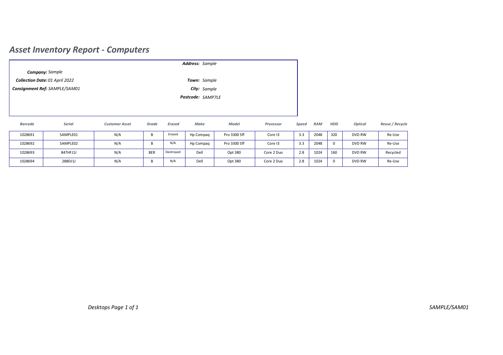## *Asset Inventory Report - Computers*

|                |                                |                       |            |               | Address: Sample   |              |            |       |            |     |         |                 |
|----------------|--------------------------------|-----------------------|------------|---------------|-------------------|--------------|------------|-------|------------|-----|---------|-----------------|
|                | <b>Company:</b> Sample         |                       |            |               |                   |              |            |       |            |     |         |                 |
|                | Collection Date: 01 April 2022 |                       |            |               | Town: Sample      |              |            |       |            |     |         |                 |
|                | Consignment Ref: SAMPLE/SAM01  |                       |            |               | City: Sample      |              |            |       |            |     |         |                 |
|                |                                |                       |            |               | Postcode: SAMP7LE |              |            |       |            |     |         |                 |
|                |                                |                       |            |               |                   |              |            |       |            |     |         |                 |
|                |                                |                       |            |               |                   |              |            |       |            |     |         |                 |
| <b>Barcode</b> | Serial                         | <b>Customer Asset</b> | Grade      | <b>Erased</b> | Make              | Model        | Processor  | Speed | <b>RAM</b> | HDD | Optical | Reuse / Recycle |
| 1028691        | SAMPLE01                       | N/A                   | B          | Erased        | Hp Compaq         | Pro 3300 Sff | Core I3    | 3.3   | 2048       | 320 | DVD RW  | Re-Use          |
| 1028692        | SAMPLE02                       | N/A                   | B          | N/A           | Hp Compaq         | Pro 3300 Sff | Core I3    | 3.3   | 2048       | 0   | DVD RW  | Re-Use          |
| 1028693        | 847HFJ1J                       | N/A                   | <b>BER</b> | Destroyed     | Dell              | Opt 380      | Core 2 Duo | 2.8   | 1024       | 160 | DVD RW  | Recycled        |
| 1028694        | 288DJ1J                        | N/A                   | B          | N/A           | Dell              | Opt 380      | Core 2 Duo | 2.8   | 1024       | 0   | DVD RW  | Re-Use          |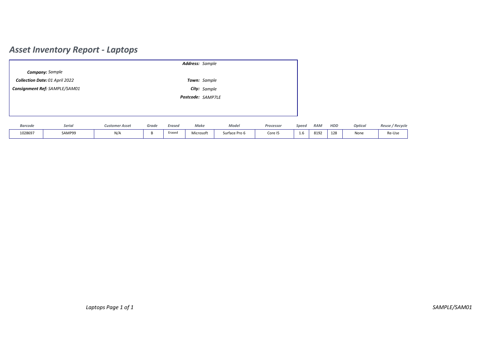## *Asset Inventory Report - Laptops*

| Address: Sample |                |                                |                       |       |               |                     |               |           |       |            |     |         |                 |
|-----------------|----------------|--------------------------------|-----------------------|-------|---------------|---------------------|---------------|-----------|-------|------------|-----|---------|-----------------|
|                 |                | <b>Company:</b> Sample         |                       |       |               |                     |               |           |       |            |     |         |                 |
|                 |                | Collection Date: 01 April 2022 |                       |       |               | <b>Town:</b> Sample |               |           |       |            |     |         |                 |
|                 |                | Consignment Ref: SAMPLE/SAM01  |                       |       |               | City: Sample        |               |           |       |            |     |         |                 |
|                 |                |                                |                       |       |               | Postcode: SAMP7LE   |               |           |       |            |     |         |                 |
|                 |                |                                |                       |       |               |                     |               |           |       |            |     |         |                 |
|                 |                |                                |                       |       |               |                     |               |           |       |            |     |         |                 |
|                 | <b>Barcode</b> | Serial                         | <b>Customer Asset</b> | Grade | <b>Erased</b> | Make                | Model         | Processor | Speed | <b>RAM</b> | HDD | Optical | Reuse / Recycle |
|                 | 1028697        | SAMP99                         | N/A                   | B     | Erased        | Microsoft           | Surface Pro 6 | Core I5   | 1.6   | 8192       | 128 | None    | Re-Use          |
|                 |                |                                |                       |       |               |                     |               |           |       |            |     |         |                 |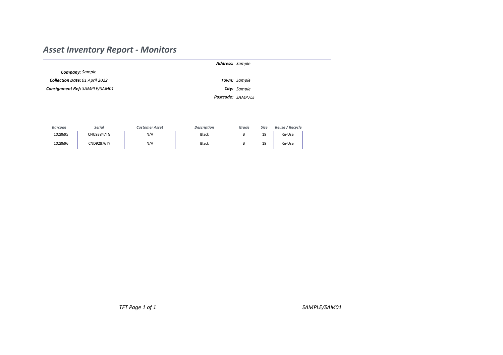## *Asset Inventory Report - Monitors*

|                |                                       |                       | Address: Sample    |              |      |                 |  |  |
|----------------|---------------------------------------|-----------------------|--------------------|--------------|------|-----------------|--|--|
|                | <b>Company:</b> Sample                |                       |                    |              |      |                 |  |  |
|                | <b>Collection Date: 01 April 2022</b> |                       |                    | Town: Sample |      |                 |  |  |
|                | Consignment Ref: SAMPLE/SAM01         | City: Sample          |                    |              |      |                 |  |  |
|                |                                       |                       | Postcode: SAMP7LE  |              |      |                 |  |  |
|                |                                       |                       |                    |              |      |                 |  |  |
|                |                                       |                       |                    |              |      |                 |  |  |
| <b>Barcode</b> | <b>Serial</b>                         | <b>Customer Asset</b> | <b>Description</b> | Grade        | Size | Reuse / Recycle |  |  |
| 1028695        | <b>CNU93847TG</b>                     | N/A                   | Black              | B            | 19   | Re-Use          |  |  |

1028696 | CND92876TY | N/A | Black | B | 19

19 Re-Use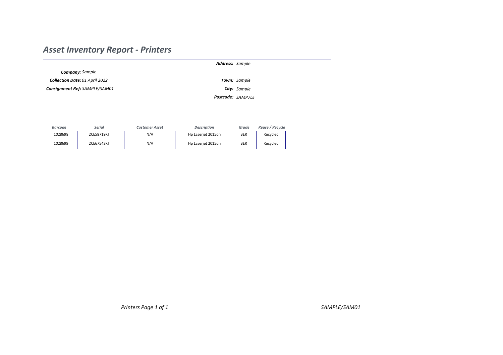## *Asset Inventory Report - Printers*

|                               |                                |                       | <b>Address:</b> Sample |              |                 |  |  |
|-------------------------------|--------------------------------|-----------------------|------------------------|--------------|-----------------|--|--|
|                               | <b>Company:</b> Sample         |                       |                        |              |                 |  |  |
|                               | Collection Date: 01 April 2022 |                       |                        | Town: Sample |                 |  |  |
| Consignment Ref: SAMPLE/SAM01 |                                |                       | City: Sample           |              |                 |  |  |
|                               |                                |                       | Postcode: SAMP7LE      |              |                 |  |  |
|                               |                                |                       |                        |              |                 |  |  |
|                               |                                |                       |                        |              |                 |  |  |
| <b>Barcode</b>                | <b>Serial</b>                  | <b>Customer Asset</b> | <b>Description</b>     | Grade        | Reuse / Recycle |  |  |
| 1028698                       | 2CE58719KT                     | N/A                   | Hp Laserjet 2015dn     | <b>BER</b>   | Recycled        |  |  |

Recycled

1028699 2CE67543KT N/A Hp Laserjet 2015dn BER